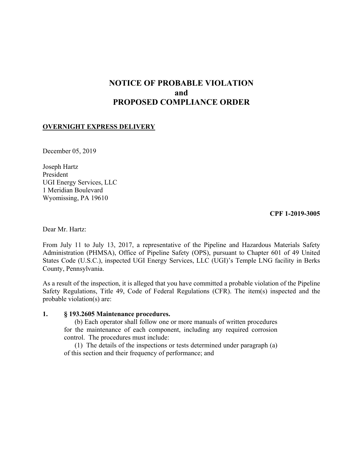# **NOTICE OF PROBABLE VIOLATION and PROPOSED COMPLIANCE ORDER**

### **OVERNIGHT EXPRESS DELIVERY**

December 05, 2019

Joseph Hartz President UGI Energy Services, LLC 1 Meridian Boulevard Wyomissing, PA 19610

**CPF 1-2019-3005** 

Dear Mr. Hartz:

From July 11 to July 13, 2017, a representative of the Pipeline and Hazardous Materials Safety Administration (PHMSA), Office of Pipeline Safety (OPS), pursuant to Chapter 601 of 49 United States Code (U.S.C.), inspected UGI Energy Services, LLC (UGI)'s Temple LNG facility in Berks County, Pennsylvania.

As a result of the inspection, it is alleged that you have committed a probable violation of the Pipeline Safety Regulations, Title 49, Code of Federal Regulations (CFR). The item(s) inspected and the probable violation(s) are:

#### **1. § 193.2605 Maintenance procedures.**

(b) Each operator shall follow one or more manuals of written procedures for the maintenance of each component, including any required corrosion control. The procedures must include:

(1) The details of the inspections or tests determined under paragraph (a) of this section and their frequency of performance; and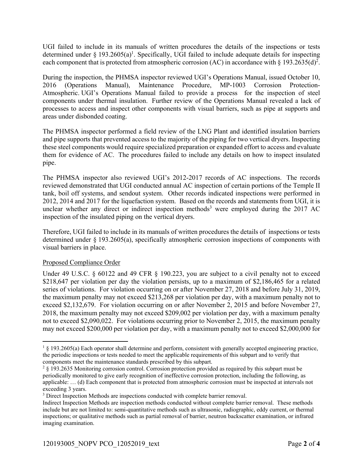UGI failed to include in its manuals of written procedures the details of the inspections or tests determined under § 193.2605(a)<sup>1</sup>. Specifically, UGI failed to include adequate details for inspecting each component that is protected from atmospheric corrosion (AC) in accordance with § 193.2635(d)<sup>2</sup>.

During the inspection, the PHMSA inspector reviewed UGI's Operations Manual, issued October 10, 2016 (Operations Manual), Maintenance Procedure, MP-1003 Corrosion Protection-Atmospheric. UGI's Operations Manual failed to provide a process for the inspection of steel components under thermal insulation. Further review of the Operations Manual revealed a lack of processes to access and inspect other components with visual barriers, such as pipe at supports and areas under disbonded coating.

The PHMSA inspector performed a field review of the LNG Plant and identified insulation barriers and pipe supports that prevented access to the majority of the piping for two vertical dryers. Inspecting these steel components would require specialized preparation or expanded effort to access and evaluate them for evidence of AC. The procedures failed to include any details on how to inspect insulated pipe.

The PHMSA inspector also reviewed UGI's 2012-2017 records of AC inspections. The records reviewed demonstrated that UGI conducted annual AC inspection of certain portions of the Temple II tank, boil off systems, and sendout system. Other records indicated inspections were performed in 2012, 2014 and 2017 for the liquefaction system. Based on the records and statements from UGI, it is unclear whether any direct or indirect inspection methods<sup>3</sup> were employed during the 2017 AC inspection of the insulated piping on the vertical dryers.

Therefore, UGI failed to include in its manuals of written procedures the details of inspections or tests determined under § 193.2605(a), specifically atmospheric corrosion inspections of components with visual barriers in place.

## Proposed Compliance Order

Under 49 U.S.C. § 60122 and 49 CFR § 190.223, you are subject to a civil penalty not to exceed \$218,647 per violation per day the violation persists, up to a maximum of \$2,186,465 for a related series of violations. For violation occurring on or after November 27, 2018 and before July 31, 2019, the maximum penalty may not exceed \$213,268 per violation per day, with a maximum penalty not to exceed \$2,132,679. For violation occurring on or after November 2, 2015 and before November 27, 2018, the maximum penalty may not exceed \$209,002 per violation per day, with a maximum penalty not to exceed \$2,090,022. For violations occurring prior to November 2, 2015, the maximum penalty may not exceed \$200,000 per violation per day, with a maximum penalty not to exceed \$2,000,000 for

 $\overline{a}$  $1 \& 193.2605(a)$  Each operator shall determine and perform, consistent with generally accepted engineering practice, the periodic inspections or tests needed to meet the applicable requirements of this subpart and to verify that components meet the maintenance standards prescribed by this subpart.

<sup>&</sup>lt;sup>2</sup> § 193.2635 Monitoring corrosion control. Corrosion protection provided as required by this subpart must be periodically monitored to give early recognition of ineffective corrosion protection, including the following, as applicable: … (d) Each component that is protected from atmospheric corrosion must be inspected at intervals not exceeding 3 years.

<sup>&</sup>lt;sup>3</sup> Direct Inspection Methods are inspections conducted with complete barrier removal.

 inspections; or qualitative methods such as partial removal of barrier, neutron backscatter examination, or infrared Indirect Inspection Methods are inspection methods conducted without complete barrier removal. These methods include but are not limited to: semi-quantitative methods such as ultrasonic, radiographic, eddy current, or thermal imaging examination.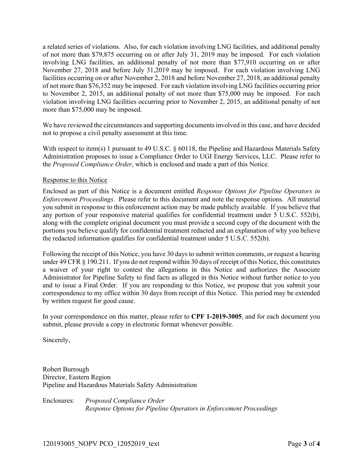a related series of violations. Also, for each violation involving LNG facilities, and additional penalty of not more than \$79,875 occurring on or after July 31, 2019 may be imposed. For each violation involving LNG facilities, an additional penalty of not more than \$77,910 occurring on or after November 27, 2018 and before July 31,2019 may be imposed. For each violation involving LNG facilities occurring on or after November 2, 2018 and before November 27, 2018, an additional penalty of not more than \$76,352 may be imposed. For each violation involving LNG facilities occurring prior to November 2, 2015, an additional penalty of not more than \$75,000 may be imposed. For each violation involving LNG facilities occurring prior to November 2, 2015, an additional penalty of not more than \$75,000 may be imposed.

We have reviewed the circumstances and supporting documents involved in this case, and have decided not to propose a civil penalty assessment at this time.

 Administration proposes to issue a Compliance Order to UGI Energy Services, LLC. Please refer to With respect to item(s) 1 pursuant to 49 U.S.C. § 60118, the Pipeline and Hazardous Materials Safety the *Proposed Compliance Order*, which is enclosed and made a part of this Notice.

#### Response to this Notice

Enclosed as part of this Notice is a document entitled *Response Options for Pipeline Operators in Enforcement Proceedings*. Please refer to this document and note the response options. All material you submit in response to this enforcement action may be made publicly available. If you believe that any portion of your responsive material qualifies for confidential treatment under 5 U.S.C. 552(b), along with the complete original document you must provide a second copy of the document with the portions you believe qualify for confidential treatment redacted and an explanation of why you believe the redacted information qualifies for confidential treatment under 5 U.S.C. 552(b).

Following the receipt of this Notice, you have 30 days to submit written comments, or request a hearing under 49 CFR § 190.211. If you do not respond within 30 days of receipt of this Notice, this constitutes a waiver of your right to contest the allegations in this Notice and authorizes the Associate Administrator for Pipeline Safety to find facts as alleged in this Notice without further notice to you and to issue a Final Order. If you are responding to this Notice, we propose that you submit your correspondence to my office within 30 days from receipt of this Notice. This period may be extended by written request for good cause.

In your correspondence on this matter, please refer to **CPF 1-2019-3005**, and for each document you submit, please provide a copy in electronic format whenever possible.

Sincerely,

Robert Burrough Director, Eastern Region Pipeline and Hazardous Materials Safety Administration

Enclosures: *Proposed Compliance Order Response Options for Pipeline Operators in Enforcement Proceedings*